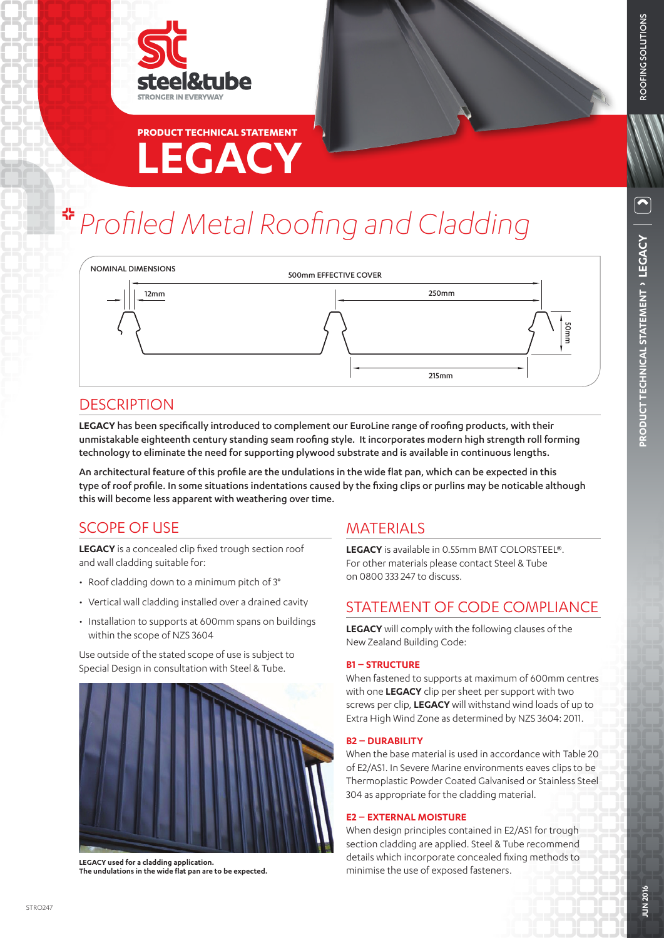



# **LEGACY PRODUCT TECHNICAL STATEMENT**

# *Profiled Metal Roofing and Cladding*



## **DESCRIPTION**

**LEGACY** has been specifically introduced to complement our EuroLine range of roofing products, with their unmistakable eighteenth century standing seam roofing style. It incorporates modern high strength roll forming technology to eliminate the need for supporting plywood substrate and is available in continuous lengths.

An architectural feature of this profile are the undulations in the wide flat pan, which can be expected in this type of roof profile. In some situations indentations caused by the fixing clips or purlins may be noticable although this will become less apparent with weathering over time.

# SCOPE OF USE

**LEGACY** is a concealed clip fixed trough section roof and wall cladding suitable for:

- Roof cladding down to a minimum pitch of 3°
- Vertical wall cladding installed over a drained cavity
- Installation to supports at 600mm spans on buildings within the scope of NZS 3604

Use outside of the stated scope of use is subject to Special Design in consultation with Steel & Tube.



LEGACY used for a cladding application.<br>The undulations in the wide flat pan are to be expected. **In the undulation of exposed fasteners**.

# MATERIALS

**LEGACY** is available in 0.55mm BMT COLORSTEEL®. For other materials please contact Steel & Tube on 0800 333 247 to discuss.

# STATEMENT OF CODE COMPLIANCE

**LEGACY** will comply with the following clauses of the New Zealand Building Code:

#### **B1 – STRUCTURE**

When fastened to supports at maximum of 600mm centres with one **LEGACY** clip per sheet per support with two screws per clip, **LEGACY** will withstand wind loads of up to Extra High Wind Zone as determined by NZS 3604: 2011.

#### **B2 – DURABILITY**

When the base material is used in accordance with Table 20 of E2/AS1. In Severe Marine environments eaves clips to be Thermoplastic Powder Coated Galvanised or Stainless Steel 304 as appropriate for the cladding material.

#### **E2 – EXTERNAL MOISTURE**

When design principles contained in E2/AS1 for trough section cladding are applied. Steel & Tube recommend details which incorporate concealed fixing methods to